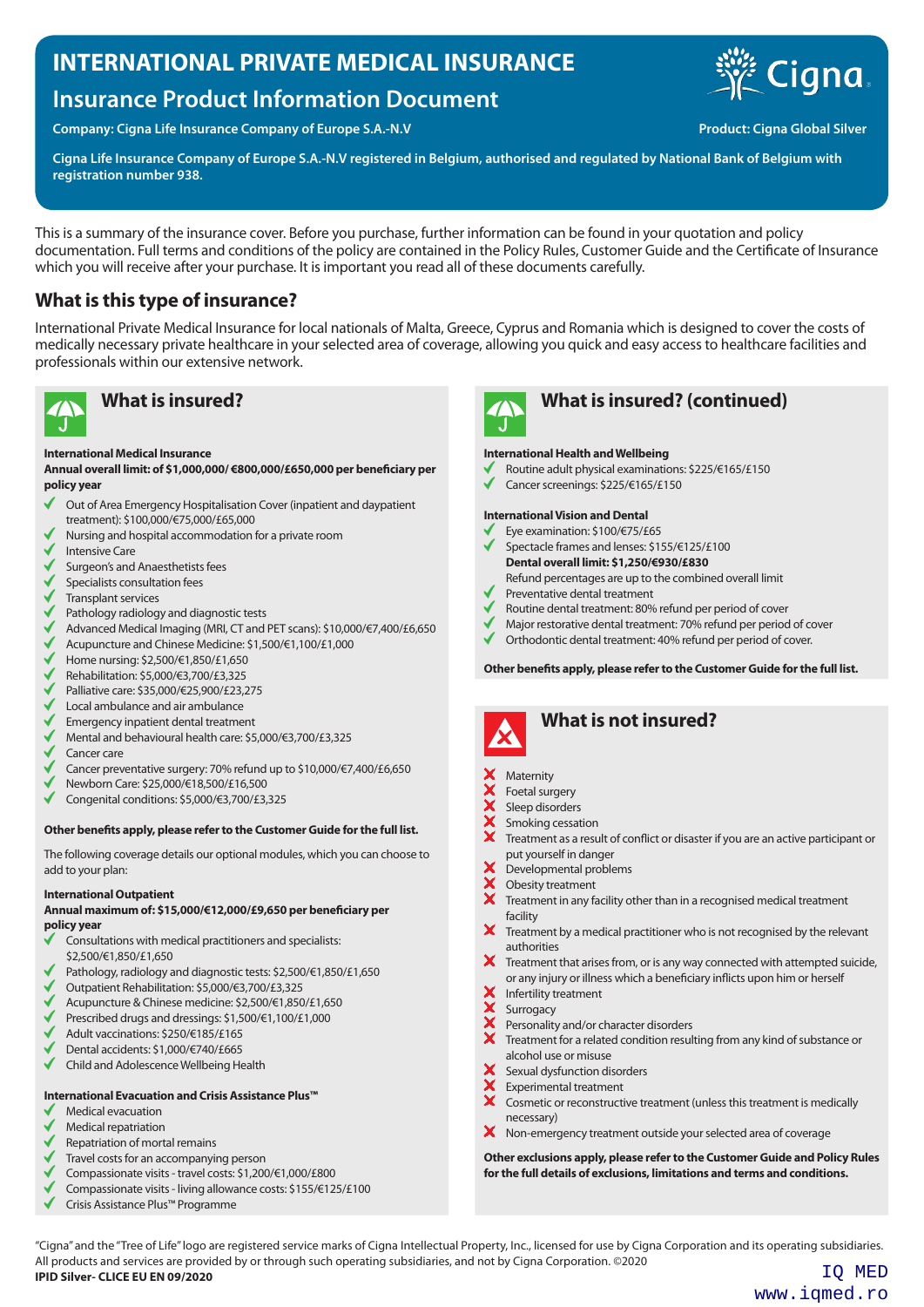# **INTERNATIONAL PRIVATE MEDICAL INSURANCE**

# **Insurance Product Information Document**

**Company: Cigna Life Insurance Company of Europe S.A.-N.V Company of Europe S.A.-N.V Product: Cigna Global Silver** 

**Cigna Life Insurance Company of Europe S.A.-N.V registered in Belgium, authorised and regulated by National Bank of Belgium with registration number 938.**

This is a summary of the insurance cover. Before you purchase, further information can be found in your quotation and policy documentation. Full terms and conditions of the policy are contained in the Policy Rules, Customer Guide and the Certificate of Insurance which you will receive after your purchase. It is important you read all of these documents carefully.

## **What is this type of insurance?**

International Private Medical Insurance for local nationals of Malta, Greece, Cyprus and Romania which is designed to cover the costs of medically necessary private healthcare in your selected area of coverage, allowing you quick and easy access to healthcare facilities and professionals within our extensive network.



## **International Medical Insurance**

**Annual overall limit: of \$1,000,000/ €800,000/£650,000 per beneficiary per policy year**

- Out of Area Emergency Hospitalisation Cover (inpatient and daypatient ✔ treatment): \$100,000/€75,000/£65,000
- Nursing and hospital accommodation for a private room
- Intensive Care
- Surgeon's and Anaesthetists fees
- Specialists consultation fees
- Transplant services
- $\checkmark$ Pathology radiology and diagnostic tests
- Advanced Medical Imaging (MRI, CT and PET scans): \$10,000/€7,400/£6,650
- Acupuncture and Chinese Medicine: \$1,500/€1,100/£1,000
- Home nursing: \$2,500/€1,850/£1,650
- Rehabilitation: \$5,000/€3,700/£3,325
- Palliative care: \$35,000/€25,900/£23,275
- Local ambulance and air ambulance
- Emergency inpatient dental treatment
- Mental and behavioural health care: \$5,000/€3,700/£3,325
- Cancer care
- Cancer preventative surgery: 70% refund up to \$10,000/€7,400/£6,650
- Newborn Care: \$25,000/€18,500/£16,500
- Congenital conditions: \$5,000/€3,700/£3,325

### **Other benefits apply, please refer to the Customer Guide for the full list.**

The following coverage details our optional modules, which you can choose to add to your plan:

### **International Outpatient**

### **Annual maximum of: \$15,000/€12,000/£9,650 per beneficiary per policy year**

- Consultations with medical practitioners and specialists: \$2,500/€1,850/£1,650
- Pathology, radiology and diagnostic tests: \$2,500/€1,850/£1,650
- Outpatient Rehabilitation: \$5,000/€3,700/£3,325
- Acupuncture & Chinese medicine: \$2,500/€1,850/£1,650
- Prescribed drugs and dressings: \$1,500/€1,100/£1,000
- Adult vaccinations: \$250/€185/£165
- Dental accidents: \$1,000/€740/£665
- $\checkmark$ Child and Adolescence Wellbeing Health

## **International Evacuation and Crisis Assistance Plus™**

- Medical evacuation
- Medical repatriation
- Repatriation of mortal remains
- Travel costs for an accompanying person
- Compassionate visits travel costs: \$1,200/€1,000/£800
- Compassionate visits living allowance costs: \$155/€125/£100
- Crisis Assistance Plus™ Programme



# **What is insured? What is insured? (continued)**

### **International Health and Wellbeing**

- Routine adult physical examinations: \$225/€165/£150
- Cancer screenings: \$225/€165/£150

### **International Vision and Dental**

- Eye examination: \$100/€75/£65
- Spectacle frames and lenses: \$155/€125/£100 **Dental overall limit: \$1,250/€930/£830**
	- Refund percentages are up to the combined overall limit
- Preventative dental treatment
- Routine dental treatment: 80% refund per period of cover
- Major restorative dental treatment: 70% refund per period of cover
- Orthodontic dental treatment: 40% refund per period of cover.

**Other benefits apply, please refer to the Customer Guide for the full list.**



## **What is not insured?**

- **Maternity**
- Foetal surgery
- Sleep disorders
- Smoking cessation
- Treatment as a result of conflict or disaster if you are an active participant or put yourself in danger
- XXX Developmental problems
- Obesity treatment
- Treatment in any facility other than in a recognised medical treatment facility
- X Treatment by a medical practitioner who is not recognised by the relevant authorities
- $\overline{\mathbf{x}}$ Treatment that arises from, or is any way connected with attempted suicide, or any injury or illness which a beneficiary inflicts upon him or herself
- Infertility treatment
- Surrogacy
- Personality and/or character disorders
- Treatment for a related condition resulting from any kind of substance or alcohol use or misuse
- Sexual dysfunction disorders
- Experimental treatment
- Cosmetic or reconstructive treatment (unless this treatment is medically necessary)
- X Non-emergency treatment outside your selected area of coverage

**Other exclusions apply, please refer to the Customer Guide and Policy Rules for the full details of exclusions, limitations and terms and conditions.**

"Cigna" and the "Tree of Life" logo are registered service marks of Cigna Intellectual Property, Inc., licensed for use by Cigna Corporation and its operating subsidiaries. All products and services are provided by or through such operating subsidiaries, and not by Cigna Corporation. ©2020<br>**IPID Silver- CLICE EU EN 09/2020** IQ MED

www.iqmed.ro